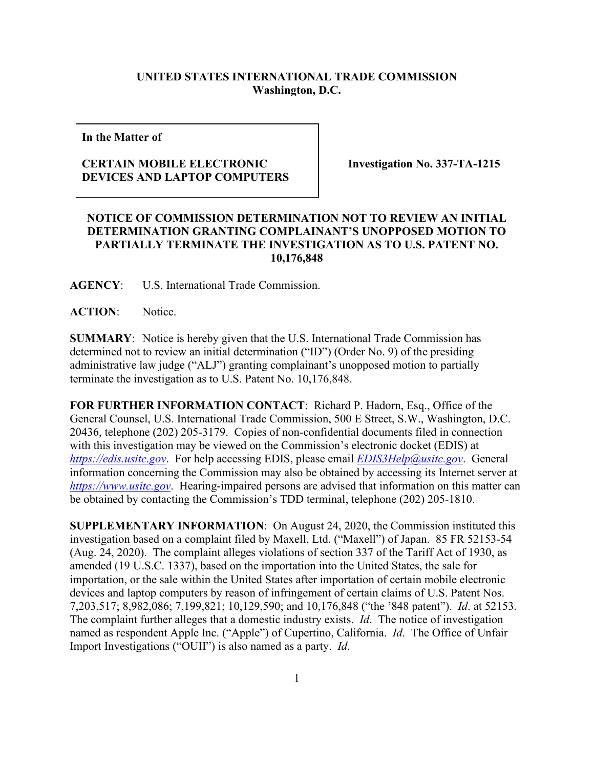## **UNITED STATES INTERNATIONAL TRADE COMMISSION Washington, D.C.**

**In the Matter of**

## **CERTAIN MOBILE ELECTRONIC DEVICES AND LAPTOP COMPUTERS**

**Investigation No. 337-TA-1215**

## **NOTICE OF COMMISSION DETERMINATION NOT TO REVIEW AN INITIAL DETERMINATION GRANTING COMPLAINANT'S UNOPPOSED MOTION TO PARTIALLY TERMINATE THE INVESTIGATION AS TO U.S. PATENT NO. 10,176,848**

**AGENCY**: U.S. International Trade Commission.

ACTION: Notice.

**SUMMARY**: Notice is hereby given that the U.S. International Trade Commission has determined not to review an initial determination ("ID") (Order No. 9) of the presiding administrative law judge ("ALJ") granting complainant's unopposed motion to partially terminate the investigation as to U.S. Patent No. 10,176,848.

**FOR FURTHER INFORMATION CONTACT**: Richard P. Hadorn, Esq., Office of the General Counsel, U.S. International Trade Commission, 500 E Street, S.W., Washington, D.C. 20436, telephone (202) 205-3179. Copies of non-confidential documents filed in connection with this investigation may be viewed on the Commission's electronic docket (EDIS) at *[https://edis.usitc.gov](https://edis.usitc.gov/)*. For help accessing EDIS, please email *[EDIS3Help@usitc.gov](mailto:EDIS3Help@usitc.gov)*. General information concerning the Commission may also be obtained by accessing its Internet server at *[https://www.usitc.gov](https://www.usitc.gov/)*. Hearing-impaired persons are advised that information on this matter can be obtained by contacting the Commission's TDD terminal, telephone (202) 205-1810.

**SUPPLEMENTARY INFORMATION**: On August 24, 2020, the Commission instituted this investigation based on a complaint filed by Maxell, Ltd. ("Maxell") of Japan. 85 FR 52153-54 (Aug. 24, 2020). The complaint alleges violations of section 337 of the Tariff Act of 1930, as amended (19 U.S.C. 1337), based on the importation into the United States, the sale for importation, or the sale within the United States after importation of certain mobile electronic devices and laptop computers by reason of infringement of certain claims of U.S. Patent Nos. 7,203,517; 8,982,086; 7,199,821; 10,129,590; and 10,176,848 ("the '848 patent"). *Id*. at 52153. The complaint further alleges that a domestic industry exists. *Id*. The notice of investigation named as respondent Apple Inc. ("Apple") of Cupertino, California. *Id*. The Office of Unfair Import Investigations ("OUII") is also named as a party. *Id*.